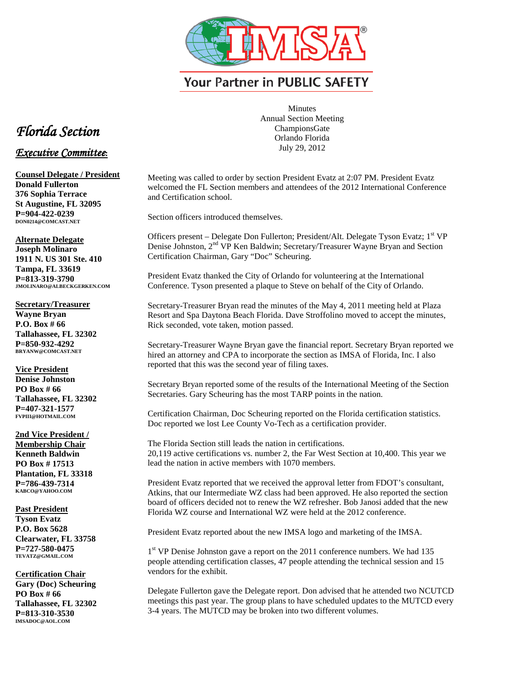

**Your Partner in PUBLIC SAFETY** 

## *Florida Section*

## *Executive Committee***:**

**Counsel Delegate / President Donald Fullerton 376 Sophia Terrace St Augustine, FL 32095 P=904-422-0239 DON0214@COMCAST.NET**

**Alternate Delegate Joseph Molinaro 1911 N. US 301 Ste. 410 Tampa, FL 33619 P=813-319-3790 JMOLINARO@ALBECKGERKEN.COM**

**Secretary/Treasurer Wayne Bryan P.O. Box # 66 Tallahassee, FL 32302 P=850-932-4292 BRYANW@COMCAST.NET**

**Vice President Denise Johnston PO Box # 66 Tallahassee, FL 32302 P=407-321-1577 FVPIII@HOTMAIL.COM**

**2nd Vice President / Membership Chair Kenneth Baldwin PO Box # 17513 Plantation, FL 33318 P=786-439-7314 KABCO@YAHOO.COM**

**Past President Tyson Evatz P.O. Box 5628 Clearwater, FL 33758 P=727-580-0475 TEVATZ@GMAIL.COM**

**Certification Chair Gary (Doc) Scheuring PO Box # 66 Tallahassee, FL 32302 P=813-310-3530 IMSADOC@AOL.COM**

Minutes Annual Section Meeting ChampionsGate Orlando Florida July 29, 2012

Meeting was called to order by section President Evatz at 2:07 PM. President Evatz welcomed the FL Section members and attendees of the 2012 International Conference and Certification school.

Section officers introduced themselves.

Officers present – Delegate Don Fullerton; President/Alt. Delegate Tyson Evatz; 1<sup>st</sup> VP Denise Johnston, 2nd VP Ken Baldwin; Secretary/Treasurer Wayne Bryan and Section Certification Chairman, Gary "Doc" Scheuring.

President Evatz thanked the City of Orlando for volunteering at the International Conference. Tyson presented a plaque to Steve on behalf of the City of Orlando.

Secretary-Treasurer Bryan read the minutes of the May 4, 2011 meeting held at Plaza Resort and Spa Daytona Beach Florida. Dave Stroffolino moved to accept the minutes, Rick seconded, vote taken, motion passed.

Secretary-Treasurer Wayne Bryan gave the financial report. Secretary Bryan reported we hired an attorney and CPA to incorporate the section as IMSA of Florida, Inc. I also reported that this was the second year of filing taxes.

Secretary Bryan reported some of the results of the International Meeting of the Section Secretaries. Gary Scheuring has the most TARP points in the nation.

Certification Chairman, Doc Scheuring reported on the Florida certification statistics. Doc reported we lost Lee County Vo-Tech as a certification provider.

The Florida Section still leads the nation in certifications. 20,119 active certifications vs. number 2, the Far West Section at 10,400. This year we lead the nation in active members with 1070 members.

President Evatz reported that we received the approval letter from FDOT's consultant, Atkins, that our Intermediate WZ class had been approved. He also reported the section board of officers decided not to renew the WZ refresher. Bob Janosi added that the new Florida WZ course and International WZ were held at the 2012 conference.

President Evatz reported about the new IMSA logo and marketing of the IMSA.

1<sup>st</sup> VP Denise Johnston gave a report on the 2011 conference numbers. We had 135 people attending certification classes, 47 people attending the technical session and 15 vendors for the exhibit.

Delegate Fullerton gave the Delegate report. Don advised that he attended two NCUTCD meetings this past year. The group plans to have scheduled updates to the MUTCD every 3-4 years. The MUTCD may be broken into two different volumes.